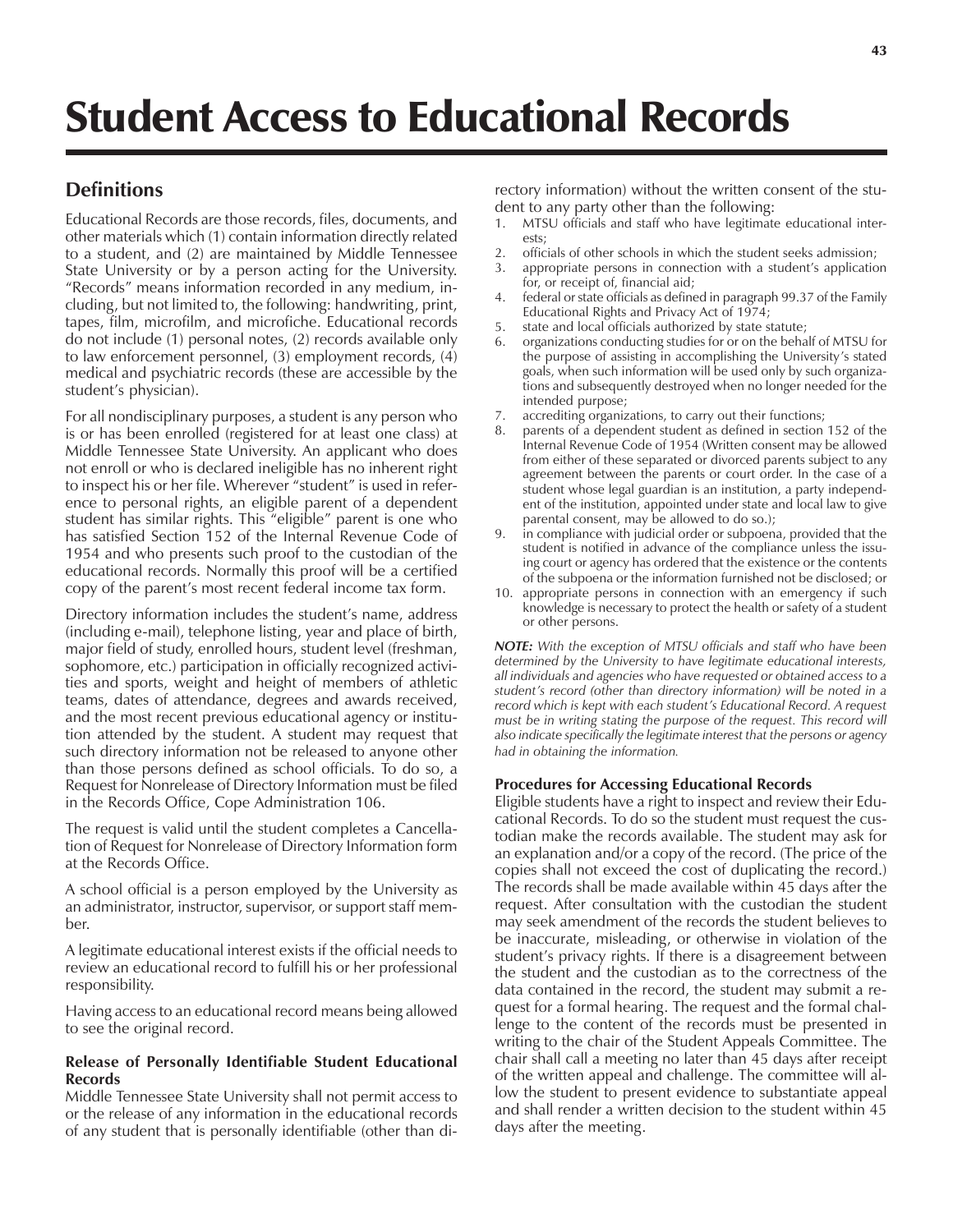# **Definitions**

Educational Records are those records, files, documents, and other materials which (1) contain information directly related to a student, and (2) are maintained by Middle Tennessee State University or by a person acting for the University. "Records" means information recorded in any medium, including, but not limited to, the following: handwriting, print, tapes, film, microfilm, and microfiche. Educational records do not include (1) personal notes, (2) records available only to law enforcement personnel, (3) employment records, (4) medical and psychiatric records (these are accessible by the student's physician).

For all nondisciplinary purposes, a student is any person who is or has been enrolled (registered for at least one class) at Middle Tennessee State University. An applicant who does not enroll or who is declared ineligible has no inherent right to inspect his or her file. Wherever "student" is used in reference to personal rights, an eligible parent of a dependent student has similar rights. This "eligible" parent is one who has satisfied Section 152 of the Internal Revenue Code of 1954 and who presents such proof to the custodian of the educational records. Normally this proof will be a certified copy of the parent's most recent federal income tax form.

Directory information includes the student's name, address (including e-mail), telephone listing, year and place of birth, major field of study, enrolled hours, student level (freshman, sophomore, etc.) participation in officially recognized activities and sports, weight and height of members of athletic teams, dates of attendance, degrees and awards received, and the most recent previous educational agency or institution attended by the student. A student may request that such directory information not be released to anyone other than those persons defined as school officials. To do so, a Request for Nonrelease of Directory Information must be filed in the Records Office, Cope Administration 106.

The request is valid until the student completes a Cancellation of Request for Nonrelease of Directory Information form at the Records Office.

A school official is a person employed by the University as an administrator, instructor, supervisor, or support staff member.

A legitimate educational interest exists if the official needs to review an educational record to fulfill his or her professional responsibility.

Having access to an educational record means being allowed to see the original record.

## **Release of Personally Identifiable Student Educational Records**

Middle Tennessee State University shall not permit access to or the release of any information in the educational records of any student that is personally identifiable (other than directory information) without the written consent of the student to any party other than the following:

- 1. MTSU officials and staff who have legitimate educational interests;
- 2. officials of other schools in which the student seeks admission;
- 3. appropriate persons in connection with a student's application for, or receipt of, financial aid;
- 4. federal or state officials as defined in paragraph 99.37 of the Family Educational Rights and Privacy Act of 1974;
- 5. state and local officials authorized by state statute;
- organizations conducting studies for or on the behalf of MTSU for the purpose of assisting in accomplishing the University's stated goals, when such information will be used only by such organizations and subsequently destroyed when no longer needed for the intended purpose;
- 7. accrediting organizations, to carry out their functions;
- 8. parents of a dependent student as defined in section 152 of the Internal Revenue Code of 1954 (Written consent may be allowed from either of these separated or divorced parents subject to any agreement between the parents or court order. In the case of a student whose legal guardian is an institution, a party independent of the institution, appointed under state and local law to give parental consent, may be allowed to do so.);
- in compliance with judicial order or subpoena, provided that the student is notified in advance of the compliance unless the issuing court or agency has ordered that the existence or the contents of the subpoena or the information furnished not be disclosed; or
- 10. appropriate persons in connection with an emergency if such knowledge is necessary to protect the health or safety of a student or other persons.

*NOTE: With the exception of MTSU officials and staff who have been determined by the University to have legitimate educational interests, all individuals and agencies who have requested or obtained access to a student's record (other than directory information) will be noted in a record which is kept with each student's Educational Record. A request must be in writing stating the purpose of the request. This record will also indicate specifically the legitimate interest that the persons or agency had in obtaining the information.*

## **Procedures for Accessing Educational Records**

Eligible students have a right to inspect and review their Educational Records. To do so the student must request the custodian make the records available. The student may ask for an explanation and/or a copy of the record. (The price of the copies shall not exceed the cost of duplicating the record.) The records shall be made available within 45 days after the request. After consultation with the custodian the student may seek amendment of the records the student believes to be inaccurate, misleading, or otherwise in violation of the student's privacy rights. If there is a disagreement between the student and the custodian as to the correctness of the data contained in the record, the student may submit a request for a formal hearing. The request and the formal challenge to the content of the records must be presented in writing to the chair of the Student Appeals Committee. The chair shall call a meeting no later than 45 days after receipt of the written appeal and challenge. The committee will allow the student to present evidence to substantiate appeal and shall render a written decision to the student within 45 days after the meeting.